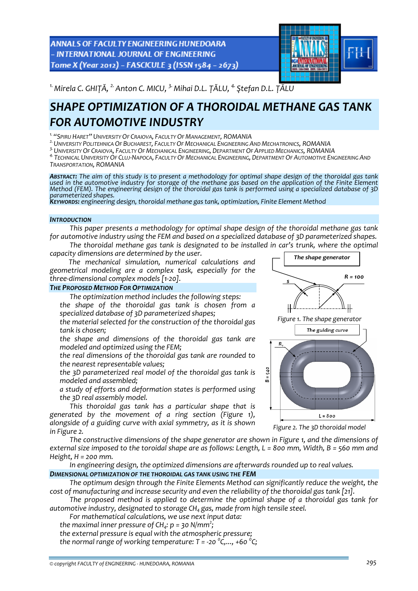ANNALS OF FACULTY ENGINEERING HUNEDOARA - INTERNATIONAL JOURNAL OF ENGINEERING Tome X (Year 2012) - FASCICULE 3 (ISSN 1584 - 2673)



*1.Mirela C. GHIȚĂ, 2.Anton C. MICU, 3.Mihai D.L. ȚĂLU, 4. Ştefan D.L. ȚĂLU* 

# *SHAPE OPTIMIZATION OF A THOROIDAL METHANE GAS TANK FOR AUTOMOTIVE INDUSTRY*

<sup>1.</sup> "Spiru Haret" University Of Craiova, Faculty Of Management, ROMANIA<br><sup>2.</sup> University Politehnica Of Bucharest, Faculty Of Mechanical Engineering And Mechatronics, ROMANIA

<sup>3.</sup> University Of Craiova, Faculty Of Mechanical Engineering, Department Of Applied Mechanics, ROMANIA<br><sup>4.</sup> Technical University Of Cluj-Napoca, Faculty Of Mechanical Engineering, Department Of Automotive Engineering And *TRANSPORTATION, ROMANIA*

ABSTRACT: The aim of this study is to present a methodology for optimal shape design of the thoroidal gas tank used in the automotive industry for storage of the methane gas based on the application of the Finite Element Method (FEM). The engineering design of the thoroidal gas tank is performed using a specialized database of 3D<br>parameterized shapes.

*parameterized shapes. KEYWORDS: engineering design, thoroidal methane gas tank, optimization, Finite Element Method*

### *INTRODUCTION*

*This paper presents a methodology for optimal shape design of the thoroidal methane gas tank for automotive industry using the FEM and based on a specialized database of 3D parameterized shapes. The thoroidal methane gas tank is designated to be installed in car's trunk, where the optimal*

*capacity dimensions are determined by the user.*

*The mechanical simulation, numerical calculations and geometrical modeling are a complex task, especially for the three‐dimensional complex models [1‐20].*

### *THE PROPOSED METHOD FOR OPTIMIZATION*

*The optimization method includes the following steps:*

 *the shape of the thoroidal gas tank is chosen from a specialized database of 3D parameterized shapes;*

 *the material selected for the construction of the thoroidal gas tank is chosen;* 

 *the shape and dimensions of the thoroidal gas tank are modeled and optimized using the FEM;*

 *the real dimensions of the thoroidal gas tank are rounded to the nearest representable values;*

 *the 3D parameterized real model of the thoroidal gas tank is modeled and assembled;*

 *a study of efforts and deformation states is performed using the 3D real assembly model.*

*This thoroidal gas tank has a particular shape that is generated by the movement of a ring section (Figure 1), alongside of a guiding curve with axial symmetry, as it is shown in Figure 2.*



*The shape generator*



*Figure 2. The 3D thoroidal model*

*The constructive dimensions of the shape generator are shown in Figure 1, and the dimensions of* external size imposed to the toroidal shape are as follows: Length,  $L = 800$  mm, Width,  $B = 560$  mm and *Height, H = 200 mm.*

*In engineering design, the optimized dimensions are afterwards rounded up to real values.*

## *DIMENSIONAL OPTIMIZATION OF THE THOROIDAL GAS TANK USING THE FEM*

*The optimum design through the Finite Elements Method can significantly reduce the weight, the cost of manufacturing and increase security and even the reliability of the thoroidal gas tank [21].*

*The proposed method is applied to determine the optimal shape of a thoroidal gas tank for automotive industry, designated to storage CH4 gas, made from high tensile steel.* 

*For mathematical calculations, we use next input data:*

*the maximal inner pressure of CH<sub>4</sub>:*  $p = 30$  *N/mm<sup>2</sup>;* 

*the external pressure is equal with the atmospheric pressure;*

*the normal range of working temperature: T = ‐20 <sup>0</sup> C,..., +60 <sup>0</sup> C;*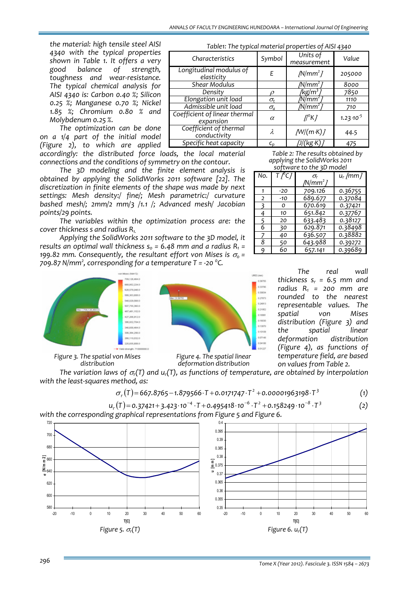*the material: high tensile steel AISI 4340 with the typical properties shown in Table 1. It offers a very good balance of strength, toughness and wear‐resistance. The typical chemical analysis for AISI 4340 is: Carbon 0.40 %; Silicon 0.25 %; Manganese 0.70 %; Nickel 1.85 %; Chromium 0.80 % and Molybdenum 0.25 %.*

*The optimization can be done on a 1/4 part of the initial model (Figure 2), to which are applied accordingly: the distributed force loads, the local material*

*The 3D modeling and the finite element analysis is obtained by applying the SolidWorks 2011 software [22]. The discretization in finite elements of the shape was made by next settings: Mesh density:/ fine/; Mesh parametric:/ curvature bashed mesh/; 2mm/2 mm/3 /1.1 /; Advanced mesh/ Jacobian points/29 points.*

*The variables within the optimization process are: the cover thickness s and radius R1.*

*Applying the SolidWorks 2011 software to the 3D model, it results* an optimal wall thickness  $s_0 = 6.48$  *mm* and *a* radius  $R_1 =$ *n*<sub>99.82</sub> *mm.* Consequently, the resultant effort von Mises is  $\sigma_0$  = *709.87 N/mm<sup>2</sup> , corresponding for a temperature T = ‐20 <sup>0</sup> C.*



*Figure 3. The spatial von Mises distribution*



*deformation distribution*

*The variation laws of* <sup>σ</sup>*r(T) and ur(T), as functions of temperature, are obtained by interpolation with the least‐squares method, as:*

$$
\sigma_r(T) = 667.8765 - 1.879566 \cdot T + 0.0171747 \cdot T^2 + 0.00001963198 \cdot T^3 \tag{1}
$$

 $u_r(T) = 0.37421 + 3.423 \cdot 10^{-4} \cdot T + 0.495418 \cdot 10^{-6} \cdot T^2 + 0.158249 \cdot 10^{-8} \cdot T^3$  (2) *with the corresponding graphical representations from Figure 5 and Figure 6.*

580 600 620  $E_{640}$  $\frac{1}{5}$  660 680 700 720 -20 -10 0 10 20 30 40 50 60 **T[C]** σ **[N/m m 2]** 0.35 0.355 0.36 0.365 0.37 0.375 **u [m m ]** 0.38 0.385 0.39 0.395 0.4 -20 -10 0 10 20 30 40 50 60 **T[C]** *Figure 5.* <sup>σ</sup>*r(T) Figure 6. ur(T)*

*Table1: The typical material properties of AISI 4340*

| Characteristics                            | Symbol                    | Units of<br>measurement | Value                |
|--------------------------------------------|---------------------------|-------------------------|----------------------|
| Longitudinal modulus of<br>elasticity      | F                         | $/N/mm^2$               | 205000               |
| <b>Shear Modulus</b>                       |                           | $N/mm^2$                | 8000                 |
| Density                                    |                           | /kg/m'                  | 7850                 |
| Elongation unit load                       | $\sigma_{t}$              | /N/mm <sup>2</sup>      | 1110                 |
| Admissible unit load                       | $\sigma_a$                | /N/mm²                  | 710                  |
| Coefficient of linear thermal<br>expansion | $\alpha$                  | $\Pi^{\circ}$ K $I$     | $1.23 \cdot 10^{-5}$ |
| Coefficient of thermal<br>conductivity     | λ                         | /N/(m K)                | 44.5                 |
| Specific heat capacity                     | $\mathsf{C}_{\mathsf{n}}$ | /J/(kg·K)               | 475                  |

*connections and the conditions of symmetry on the contour.*

 *Table 2: The results obtained by applying the SolidWorks 2011 software to the 3D model*

| No.            | $T \sqrt[6]{C}$ | $\sigma_{\rm r}$ | $u_r$ /mm / |
|----------------|-----------------|------------------|-------------|
|                | $-20$           | 709.126          | 0.36755     |
| $\overline{2}$ | -10             | 689.677          | 0.37084     |
| ₹              | O               | 670.619          | 0.37421     |
| 4              | 10              | 651.842          | 0.37767     |
|                | 20              | 633.483          | 0.38127     |
| 6              | 30              | 629.871          | 0.38498     |
|                | 40              | 636.507          | 0.38882     |
| 8              | 50              | 643.988          | 0.39272     |
| q              | 60              | 657.141          | 0.39689     |

*The real wall thickness*  $s_r = 6.5$  *mm and radius R1 = 200 mm are rounded to the nearest representable values. The spatial von Mises distribution (Figure 3) and the spatial linear deformation distribution (Figure 4), as functions of temperature field, are based on values from Table 2.*